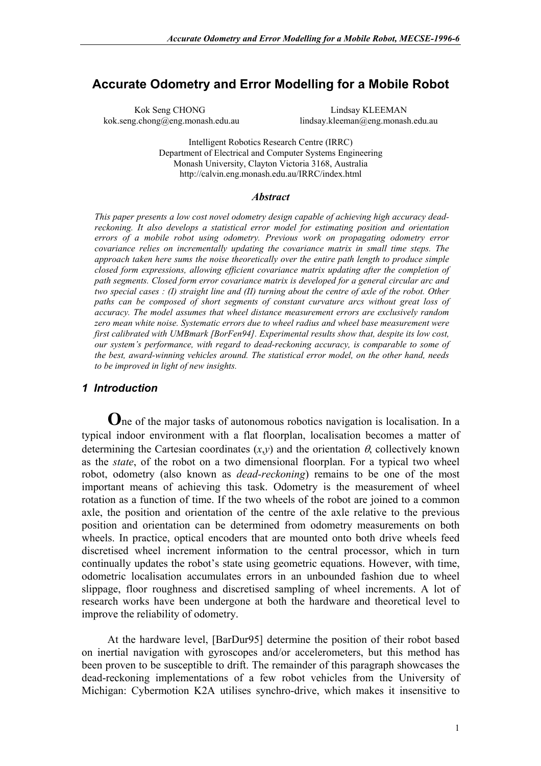# **Accurate Odometry and Error Modelling for a Mobile Robot**

Kok Seng CHONG Lindsay KLEEMAN kok.seng.chong@eng.monash.edu.au lindsay.kleeman@eng.monash.edu.au

Intelligent Robotics Research Centre (IRRC) Department of Electrical and Computer Systems Engineering Monash University, Clayton Victoria 3168, Australia http://calvin.eng.monash.edu.au/IRRC/index.html

#### *Abstract*

*This paper presents a low cost novel odometry design capable of achieving high accuracy deadreckoning. It also develops a statistical error model for estimating position and orientation errors of a mobile robot using odometry. Previous work on propagating odometry error covariance relies on incrementally updating the covariance matrix in small time steps. The approach taken here sums the noise theoretically over the entire path length to produce simple closed form expressions, allowing efficient covariance matrix updating after the completion of path segments. Closed form error covariance matrix is developed for a general circular arc and two special cases : (I) straight line and (II) turning about the centre of axle of the robot. Other paths can be composed of short segments of constant curvature arcs without great loss of accuracy. The model assumes that wheel distance measurement errors are exclusively random zero mean white noise. Systematic errors due to wheel radius and wheel base measurement were first calibrated with UMBmark [BorFen94]. Experimental results show that, despite its low cost, our system's performance, with regard to dead-reckoning accuracy, is comparable to some of the best, award-winning vehicles around. The statistical error model, on the other hand, needs to be improved in light of new insights.* 

### *1 Introduction*

**O**ne of the major tasks of autonomous robotics navigation is localisation. In a typical indoor environment with a flat floorplan, localisation becomes a matter of determining the Cartesian coordinates  $(x,y)$  and the orientation  $\theta$ , collectively known as the *state*, of the robot on a two dimensional floorplan. For a typical two wheel robot, odometry (also known as *dead-reckoning*) remains to be one of the most important means of achieving this task. Odometry is the measurement of wheel rotation as a function of time. If the two wheels of the robot are joined to a common axle, the position and orientation of the centre of the axle relative to the previous position and orientation can be determined from odometry measurements on both wheels. In practice, optical encoders that are mounted onto both drive wheels feed discretised wheel increment information to the central processor, which in turn continually updates the robot's state using geometric equations. However, with time, odometric localisation accumulates errors in an unbounded fashion due to wheel slippage, floor roughness and discretised sampling of wheel increments. A lot of research works have been undergone at both the hardware and theoretical level to improve the reliability of odometry.

At the hardware level, [BarDur95] determine the position of their robot based on inertial navigation with gyroscopes and/or accelerometers, but this method has been proven to be susceptible to drift. The remainder of this paragraph showcases the dead-reckoning implementations of a few robot vehicles from the University of Michigan: Cybermotion K2A utilises synchro-drive, which makes it insensitive to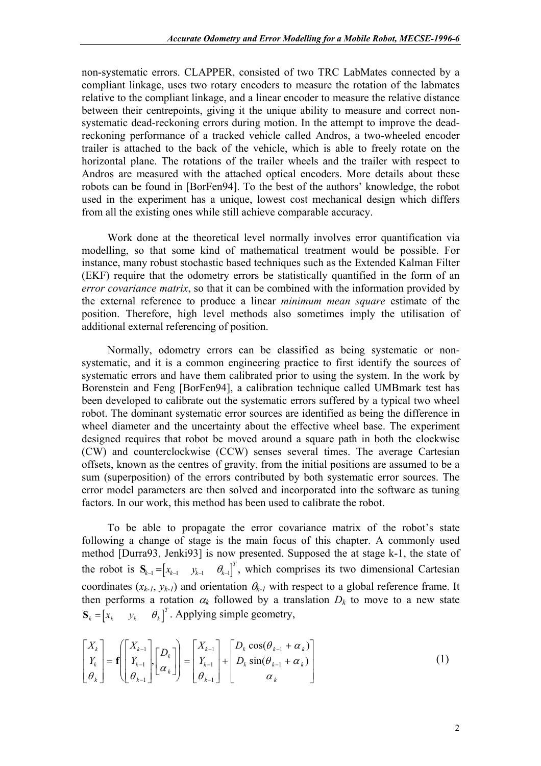non-systematic errors. CLAPPER, consisted of two TRC LabMates connected by a compliant linkage, uses two rotary encoders to measure the rotation of the labmates relative to the compliant linkage, and a linear encoder to measure the relative distance between their centrepoints, giving it the unique ability to measure and correct nonsystematic dead-reckoning errors during motion. In the attempt to improve the deadreckoning performance of a tracked vehicle called Andros, a two-wheeled encoder trailer is attached to the back of the vehicle, which is able to freely rotate on the horizontal plane. The rotations of the trailer wheels and the trailer with respect to Andros are measured with the attached optical encoders. More details about these robots can be found in [BorFen94]. To the best of the authors' knowledge, the robot used in the experiment has a unique, lowest cost mechanical design which differs from all the existing ones while still achieve comparable accuracy.

Work done at the theoretical level normally involves error quantification via modelling, so that some kind of mathematical treatment would be possible. For instance, many robust stochastic based techniques such as the Extended Kalman Filter (EKF) require that the odometry errors be statistically quantified in the form of an *error covariance matrix*, so that it can be combined with the information provided by the external reference to produce a linear *minimum mean square* estimate of the position. Therefore, high level methods also sometimes imply the utilisation of additional external referencing of position.

Normally, odometry errors can be classified as being systematic or nonsystematic, and it is a common engineering practice to first identify the sources of systematic errors and have them calibrated prior to using the system. In the work by Borenstein and Feng [BorFen94], a calibration technique called UMBmark test has been developed to calibrate out the systematic errors suffered by a typical two wheel robot. The dominant systematic error sources are identified as being the difference in wheel diameter and the uncertainty about the effective wheel base. The experiment designed requires that robot be moved around a square path in both the clockwise (CW) and counterclockwise (CCW) senses several times. The average Cartesian offsets, known as the centres of gravity, from the initial positions are assumed to be a sum (superposition) of the errors contributed by both systematic error sources. The error model parameters are then solved and incorporated into the software as tuning factors. In our work, this method has been used to calibrate the robot.

To be able to propagate the error covariance matrix of the robot's state following a change of stage is the main focus of this chapter. A commonly used method [Durra93, Jenki93] is now presented. Supposed the at stage k-1, the state of the robot is  $S_{k-1} = \begin{bmatrix} x_{k-1} & y_{k-1} & \theta_{k-1} \end{bmatrix}^T$ , which comprises its two dimensional Cartesian  $S_k = \begin{bmatrix} x_k & y_k & \theta_k \end{bmatrix}^T$ . Applying simple geometry, coordinates  $(x_{k-l}, y_{k-l})$  and orientation  $\theta_{k-l}$  with respect to a global reference frame. It then performs a rotation  $\alpha_k$  followed by a translation  $D_k$  to move to a new state

$$
\begin{bmatrix} X_k \\ Y_k \\ \theta_k \end{bmatrix} = \mathbf{f} \begin{bmatrix} X_{k-1} \\ Y_{k-1} \\ \theta_{k-1} \end{bmatrix} \begin{bmatrix} D_k \\ \alpha_k \end{bmatrix} = \begin{bmatrix} X_{k-1} \\ Y_{k-1} \\ \theta_{k-1} \end{bmatrix} + \begin{bmatrix} D_k \cos(\theta_{k-1} + \alpha_k) \\ D_k \sin(\theta_{k-1} + \alpha_k) \\ \alpha_k \end{bmatrix}
$$
(1)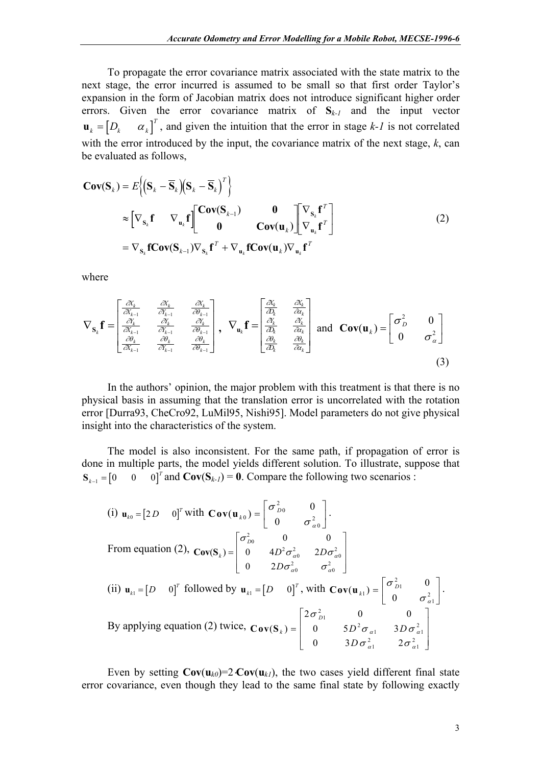To propagate the error covariance matrix associated with the state matrix to the next stage, the error incurred is assumed to be small so that first order Taylor's expansion in the form of Jacobian matrix does not introduce significant higher order errors. Given the error covariance matrix of **S***k-1* and the input vector  $\int_{I}^{T}$ , and given the intuition that the error in stage  $k-1$  is not correlated with the error introduced by the input, the covariance matrix of the next stage, *k*, can be evaluated as follows,  $\mathbf{u}_k = \begin{bmatrix} D_k & \alpha_k \end{bmatrix}$ 

$$
\mathbf{Cov}(\mathbf{S}_k) = E\left\{ (\mathbf{S}_k - \overline{\mathbf{S}}_k)(\mathbf{S}_k - \overline{\mathbf{S}}_k)^T \right\}
$$
  
\n
$$
\approx \left[ \nabla_{\mathbf{S}_k} \mathbf{f} \nabla_{\mathbf{u}_k} \mathbf{f} \right] \begin{bmatrix} \mathbf{Cov}(\mathbf{S}_{k-1}) & \mathbf{0} \\ \mathbf{0} & \mathbf{Cov}(\mathbf{u}_k) \end{bmatrix} \begin{bmatrix} \nabla_{\mathbf{S}_k} \mathbf{f}^T \\ \nabla_{\mathbf{u}_k} \mathbf{f}^T \end{bmatrix}
$$
  
\n
$$
= \nabla_{\mathbf{S}_k} \mathbf{fCov}(\mathbf{S}_{k-1}) \nabla_{\mathbf{S}_k} \mathbf{f}^T + \nabla_{\mathbf{u}_k} \mathbf{fCov}(\mathbf{u}_k) \nabla_{\mathbf{u}_k} \mathbf{f}^T
$$
 (2)

where

$$
\nabla_{\mathbf{s}_{k}}\mathbf{f} = \begin{bmatrix} \frac{\partial X_{k}}{\partial X_{k-1}} & \frac{\partial X_{k}}{\partial Y_{k-1}} & \frac{\partial X_{k}}{\partial Y_{k-1}} \\ \frac{\partial Y_{k}}{\partial X_{k-1}} & \frac{\partial Y_{k}}{\partial Y_{k-1}} & \frac{\partial Y_{k}}{\partial Y_{k-1}} \\ \frac{\partial \theta_{k}}{\partial X_{k-1}} & \frac{\partial \theta_{k}}{\partial Y_{k-1}} & \frac{\partial \theta_{k}}{\partial Y_{k-1}} \end{bmatrix}, \ \nabla_{\mathbf{u}_{k}}\mathbf{f} = \begin{bmatrix} \frac{\partial X_{k}}{\partial X_{k}} & \frac{\partial X_{k}}{\partial X_{k}} \\ \frac{\partial Y_{k}}{\partial X_{k}} & \frac{\partial Y_{k}}{\partial X_{k}} \\ \frac{\partial Y_{k}}{\partial X_{k}} & \frac{\partial Y_{k}}{\partial X_{k}} \end{bmatrix} \text{ and } \mathbf{Cov}(\mathbf{u}_{k}) = \begin{bmatrix} \sigma_{D}^{2} & 0 \\ 0 & \sigma_{\alpha}^{2} \end{bmatrix}
$$
\n(3)

In the authors' opinion, the major problem with this treatment is that there is no physical basis in assuming that the translation error is uncorrelated with the rotation error [Durra93, CheCro92, LuMil95, Nishi95]. Model parameters do not give physical insight into the characteristics of the system.

The model is also inconsistent. For the same path, if propagation of error is done in multiple parts, the model yields different solution. To illustrate, suppose that  $\mathbf{S}_{k-1} = \begin{bmatrix} 0 & 0 & 0 \end{bmatrix}^T$  and  $\mathbf{Cov}(\mathbf{S}_{k-1}) = \mathbf{0}$ . Compare the following two scenarios :  $S_{k-1} = \begin{bmatrix} 0 & 0 \end{bmatrix}$ 

(i) 
$$
\mathbf{u}_{k0} = [2D \quad 0]^T
$$
 with  $\mathbf{Cov}(\mathbf{u}_{k0}) = \begin{bmatrix} \sigma_{D0}^2 & 0 \\ 0 & \sigma_{\alpha 0}^2 \end{bmatrix}$ .  
\nFrom equation (2),  $\mathbf{Cov}(\mathbf{S}_k) = \begin{bmatrix} \sigma_{D0}^2 & 0 & 0 \\ 0 & 4D^2 \sigma_{\alpha 0}^2 & 2D\sigma_{\alpha 0}^2 \\ 0 & 2D\sigma_{\alpha 0}^2 & \sigma_{\alpha 0}^2 \end{bmatrix}$   
\n(ii)  $\mathbf{u}_{k1} = [D \quad 0]^T$  followed by  $\mathbf{u}_{k1} = [D \quad 0]^T$ , with  $\mathbf{Cov}(\mathbf{u}_{k1}) = \begin{bmatrix} \sigma_{D1}^2 & 0 \\ 0 & \sigma_{\alpha 1}^2 \end{bmatrix}$ .  
\nBy applying equation (2) twice,  $\mathbf{Cov}(\mathbf{S}_k) = \begin{bmatrix} 2\sigma_{D1}^2 & 0 & 0 \\ 0 & 5D^2 \sigma_{\alpha 1} & 3D\sigma_{\alpha 1}^2 \\ 0 & 3D\sigma_{\alpha 1}^2 & 2\sigma_{\alpha 1}^2 \end{bmatrix}$ 

Even by setting  $Cov(u_{k0})=2\cdot Cov(u_{k1})$ , the two cases yield different final state error covariance, even though they lead to the same final state by following exactly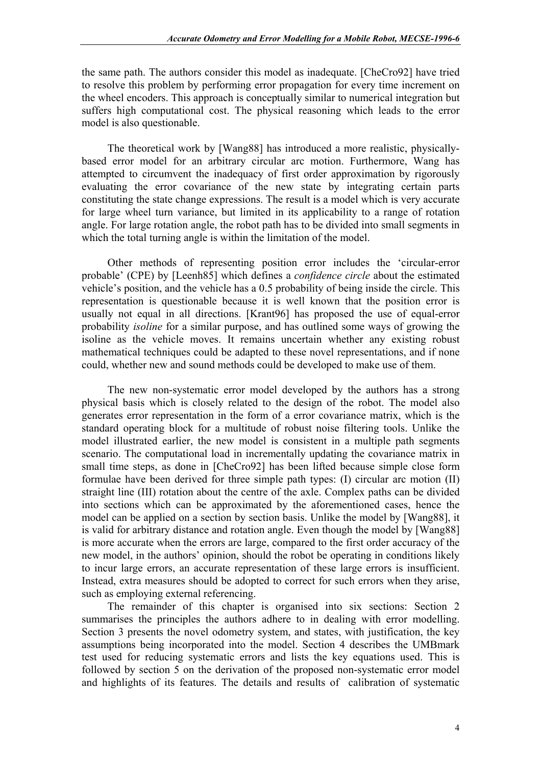the same path. The authors consider this model as inadequate. [CheCro92] have tried to resolve this problem by performing error propagation for every time increment on the wheel encoders. This approach is conceptually similar to numerical integration but suffers high computational cost. The physical reasoning which leads to the error model is also questionable.

The theoretical work by [Wang88] has introduced a more realistic, physicallybased error model for an arbitrary circular arc motion. Furthermore, Wang has attempted to circumvent the inadequacy of first order approximation by rigorously evaluating the error covariance of the new state by integrating certain parts constituting the state change expressions. The result is a model which is very accurate for large wheel turn variance, but limited in its applicability to a range of rotation angle. For large rotation angle, the robot path has to be divided into small segments in which the total turning angle is within the limitation of the model.

Other methods of representing position error includes the 'circular-error probable' (CPE) by [Leenh85] which defines a *confidence circle* about the estimated vehicle's position, and the vehicle has a 0.5 probability of being inside the circle. This representation is questionable because it is well known that the position error is usually not equal in all directions. [Krant96] has proposed the use of equal-error probability *isoline* for a similar purpose, and has outlined some ways of growing the isoline as the vehicle moves. It remains uncertain whether any existing robust mathematical techniques could be adapted to these novel representations, and if none could, whether new and sound methods could be developed to make use of them.

The new non-systematic error model developed by the authors has a strong physical basis which is closely related to the design of the robot. The model also generates error representation in the form of a error covariance matrix, which is the standard operating block for a multitude of robust noise filtering tools. Unlike the model illustrated earlier, the new model is consistent in a multiple path segments scenario. The computational load in incrementally updating the covariance matrix in small time steps, as done in [CheCro92] has been lifted because simple close form formulae have been derived for three simple path types: (I) circular arc motion (II) straight line (III) rotation about the centre of the axle. Complex paths can be divided into sections which can be approximated by the aforementioned cases, hence the model can be applied on a section by section basis. Unlike the model by [Wang88], it is valid for arbitrary distance and rotation angle. Even though the model by [Wang88] is more accurate when the errors are large, compared to the first order accuracy of the new model, in the authors' opinion, should the robot be operating in conditions likely to incur large errors, an accurate representation of these large errors is insufficient. Instead, extra measures should be adopted to correct for such errors when they arise, such as employing external referencing.

The remainder of this chapter is organised into six sections: Section 2 summarises the principles the authors adhere to in dealing with error modelling. Section 3 presents the novel odometry system, and states, with justification, the key assumptions being incorporated into the model. Section 4 describes the UMBmark test used for reducing systematic errors and lists the key equations used. This is followed by section 5 on the derivation of the proposed non-systematic error model and highlights of its features. The details and results of calibration of systematic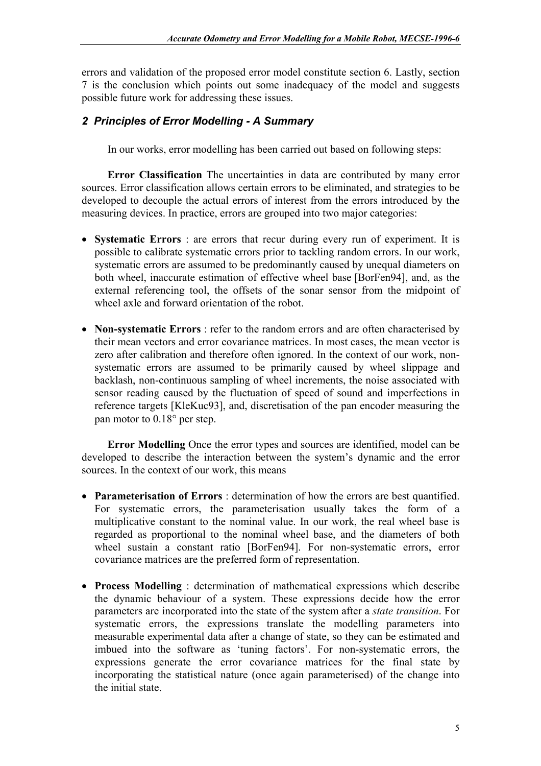errors and validation of the proposed error model constitute section 6. Lastly, section 7 is the conclusion which points out some inadequacy of the model and suggests possible future work for addressing these issues.

## *2 Principles of Error Modelling - A Summary*

In our works, error modelling has been carried out based on following steps:

**Error Classification** The uncertainties in data are contributed by many error sources. Error classification allows certain errors to be eliminated, and strategies to be developed to decouple the actual errors of interest from the errors introduced by the measuring devices. In practice, errors are grouped into two major categories:

- **Systematic Errors** : are errors that recur during every run of experiment. It is possible to calibrate systematic errors prior to tackling random errors. In our work, systematic errors are assumed to be predominantly caused by unequal diameters on both wheel, inaccurate estimation of effective wheel base [BorFen94], and, as the external referencing tool, the offsets of the sonar sensor from the midpoint of wheel axle and forward orientation of the robot.
- **Non-systematic Errors** : refer to the random errors and are often characterised by their mean vectors and error covariance matrices. In most cases, the mean vector is zero after calibration and therefore often ignored. In the context of our work, nonsystematic errors are assumed to be primarily caused by wheel slippage and backlash, non-continuous sampling of wheel increments, the noise associated with sensor reading caused by the fluctuation of speed of sound and imperfections in reference targets [KleKuc93], and, discretisation of the pan encoder measuring the pan motor to 0.18° per step.

**Error Modelling** Once the error types and sources are identified, model can be developed to describe the interaction between the system's dynamic and the error sources. In the context of our work, this means

- **Parameterisation of Errors** : determination of how the errors are best quantified. For systematic errors, the parameterisation usually takes the form of a multiplicative constant to the nominal value. In our work, the real wheel base is regarded as proportional to the nominal wheel base, and the diameters of both wheel sustain a constant ratio [BorFen94]. For non-systematic errors, error covariance matrices are the preferred form of representation.
- **Process Modelling** : determination of mathematical expressions which describe the dynamic behaviour of a system. These expressions decide how the error parameters are incorporated into the state of the system after a *state transition*. For systematic errors, the expressions translate the modelling parameters into measurable experimental data after a change of state, so they can be estimated and imbued into the software as 'tuning factors'. For non-systematic errors, the expressions generate the error covariance matrices for the final state by incorporating the statistical nature (once again parameterised) of the change into the initial state.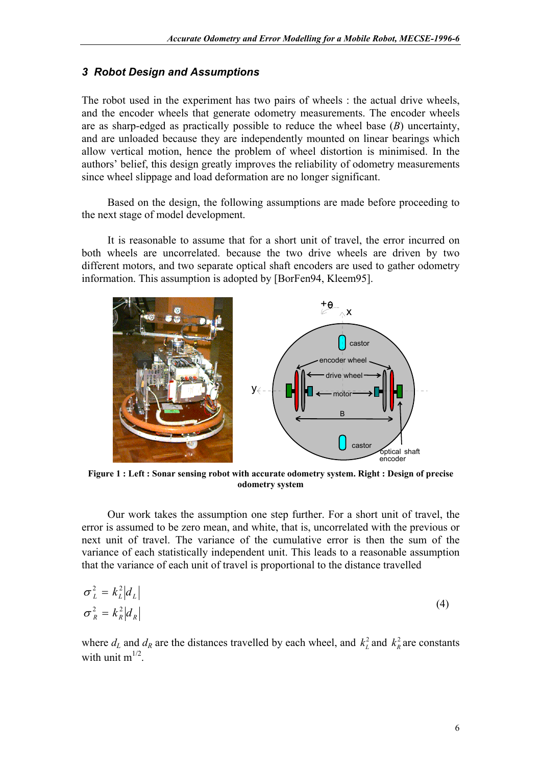### *3 Robot Design and Assumptions*

The robot used in the experiment has two pairs of wheels : the actual drive wheels, and the encoder wheels that generate odometry measurements. The encoder wheels are as sharp-edged as practically possible to reduce the wheel base (*B*) uncertainty, and are unloaded because they are independently mounted on linear bearings which allow vertical motion, hence the problem of wheel distortion is minimised. In the authors' belief, this design greatly improves the reliability of odometry measurements since wheel slippage and load deformation are no longer significant.

Based on the design, the following assumptions are made before proceeding to the next stage of model development.

It is reasonable to assume that for a short unit of travel, the error incurred on both wheels are uncorrelated. because the two drive wheels are driven by two different motors, and two separate optical shaft encoders are used to gather odometry information. This assumption is adopted by [BorFen94, Kleem95].



**Figure 1 : Left : Sonar sensing robot with accurate odometry system. Right : Design of precise odometry system** 

Our work takes the assumption one step further. For a short unit of travel, the error is assumed to be zero mean, and white, that is, uncorrelated with the previous or next unit of travel. The variance of the cumulative error is then the sum of the variance of each statistically independent unit. This leads to a reasonable assumption that the variance of each unit of travel is proportional to the distance travelled

$$
\sigma_L^2 = k_L^2 |d_L|
$$
  
\n
$$
\sigma_R^2 = k_R^2 |d_R|
$$
\n(4)

where  $d_L$  and  $d_R$  are the distances travelled by each wheel, and  $k_L^2$  and  $k_R^2$  are constants with unit  $m^{1/2}$ .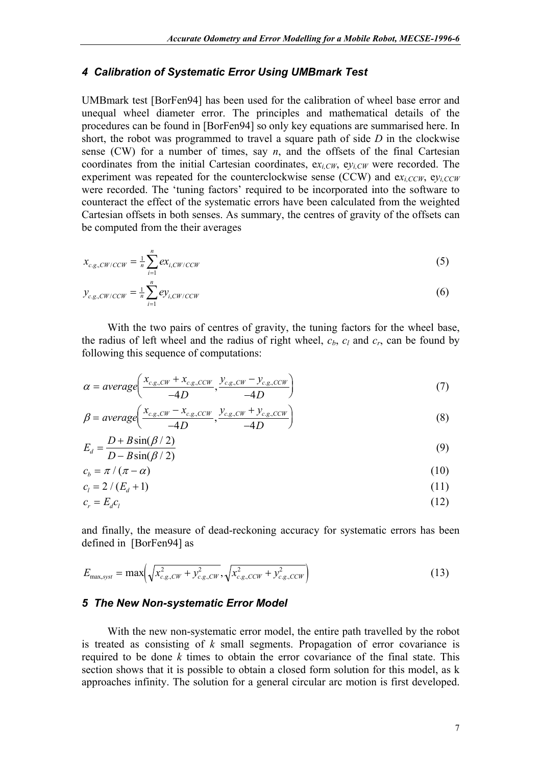### *4 Calibration of Systematic Error Using UMBmark Test*

UMBmark test [BorFen94] has been used for the calibration of wheel base error and unequal wheel diameter error. The principles and mathematical details of the procedures can be found in [BorFen94] so only key equations are summarised here. In short, the robot was programmed to travel a square path of side *D* in the clockwise sense (CW) for a number of times, say  $n$ , and the offsets of the final Cartesian coordinates from the initial Cartesian coordinates,  $ex_i<sub>CW</sub>$ ,  $ev_i<sub>CW</sub>$ , were recorded. The experiment was repeated for the counterclockwise sense (CCW) and  $ex_{i,CCW}$ ,  $ev_{i,CCW}$ were recorded. The 'tuning factors' required to be incorporated into the software to counteract the effect of the systematic errors have been calculated from the weighted Cartesian offsets in both senses. As summary, the centres of gravity of the offsets can be computed from the their averages

$$
x_{c.g., CW/CCW} = \frac{1}{n} \sum_{i=1}^{n} ex_{i, CW/CCW}
$$
 (5)

$$
y_{c.g.,CW/CCW} = \frac{1}{n} \sum_{i=1}^{n} \frac{e y_{i,CW/CCW}}{e y_{i,CW/CCW}}
$$
 (6)

With the two pairs of centres of gravity, the tuning factors for the wheel base, the radius of left wheel and the radius of right wheel,  $c_b$ ,  $c_l$  and  $c_r$ , can be found by following this sequence of computations:

$$
\alpha = average\left(\frac{x_{c.g., CW} + x_{c.g., CCW}}{-4D}, \frac{y_{c.g., CW} - y_{c.g., CCW}}{-4D}\right)
$$
\n(7)

$$
\beta = average\left(\frac{x_{c.g., CW} - x_{c.g., CW}}{-4D}, \frac{y_{c.g., CW} + y_{c.g., CW}}{-4D}\right)
$$
\n(8)

$$
E_d = \frac{D + B\sin(\beta/2)}{D - B\sin(\beta/2)}
$$
\n(9)

$$
c_b = \pi / (\pi - \alpha) \tag{10}
$$

$$
c_l = 2 / (E_d + 1) \tag{11}
$$

$$
c_r = E_d c_l \tag{12}
$$

and finally, the measure of dead-reckoning accuracy for systematic errors has been defined in [BorFen94] as

$$
E_{\max, syst} = \max \left( \sqrt{x_{c.g.,CW}^2 + y_{c.g.,CW}^2}, \sqrt{x_{c.g.,CCW}^2 + y_{c.g.,CCW}^2} \right)
$$
(13)

### *5 The New Non-systematic Error Model*

With the new non-systematic error model, the entire path travelled by the robot is treated as consisting of *k* small segments. Propagation of error covariance is required to be done *k* times to obtain the error covariance of the final state. This section shows that it is possible to obtain a closed form solution for this model, as k approaches infinity. The solution for a general circular arc motion is first developed.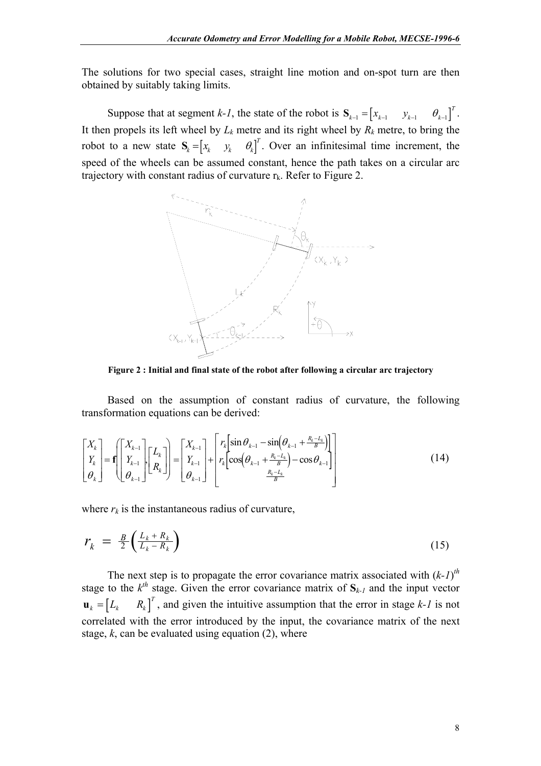The solutions for two special cases, straight line motion and on-spot turn are then obtained by suitably taking limits.

Suppose that at segment *k-1*, the state of the robot is  $S_{k-1} = \begin{bmatrix} x_{k-1} & y_{k-1} & \theta_{k-1} \end{bmatrix}^T$ . It then propels its left wheel by  $L_k$  metre and its right wheel by  $R_k$  metre, to bring the robot to a new state  $S_k = \begin{bmatrix} x_k & y_k & \theta_k \end{bmatrix}^T$ . Over an infinitesimal time increment, the speed of the wheels can be assumed constant, hence the path takes on a circular arc trajectory with constant radius of curvature  $r_k$ . Refer to [Figure 2.](#page-7-0)

<span id="page-7-0"></span>

**Figure 2 : Initial and final state of the robot after following a circular arc trajectory** 

Based on the assumption of constant radius of curvature, the following transformation equations can be derived:

$$
\begin{bmatrix} X_k \\ Y_k \\ \theta_k \end{bmatrix} = \mathbf{f} \begin{bmatrix} X_{k-1} \\ Y_{k-1} \\ \theta_{k-1} \end{bmatrix} \begin{bmatrix} L_k \\ R_k \end{bmatrix} = \begin{bmatrix} X_{k-1} \\ Y_{k-1} \\ \theta_{k-1} \end{bmatrix} + \begin{bmatrix} r_k \left[ \sin \theta_{k-1} - \sin \left( \theta_{k-1} + \frac{R_k - L_k}{B} \right) \right] \\ r_k \left[ \cos \left( \theta_{k-1} + \frac{R_k - L_k}{B} \right) - \cos \theta_{k-1} \right] \\ \frac{R_k - L_k}{B} \end{bmatrix}
$$
(14)

where  $r_k$  is the instantaneous radius of curvature,

$$
r_k = \frac{B}{2} \left( \frac{L_k + R_k}{L_k - R_k} \right) \tag{15}
$$

 $\int_{0}^{T}$ , and given the intuitive assumption that the error in stage *k*-*l* is not The next step is to propagate the error covariance matrix associated with  $(k-1)$ <sup>th</sup> stage to the  $k^{th}$  stage. Given the error covariance matrix of  $S_{k-l}$  and the input vector correlated with the error introduced by the input, the covariance matrix of the next stage,  $k$ , can be evaluated using equation  $(2)$ , where  $\mathbf{u}_k = \begin{bmatrix} L_k & R_k \end{bmatrix}$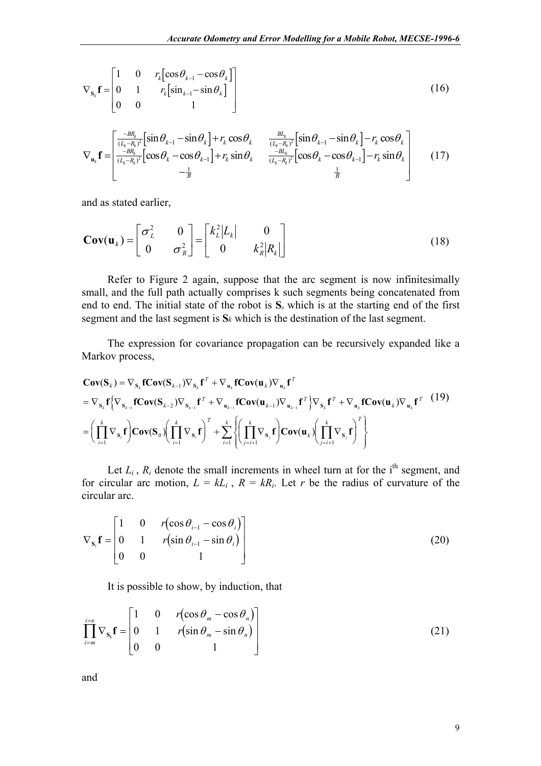$$
\nabla_{\mathbf{s}_k} \mathbf{f} = \begin{bmatrix} 1 & 0 & r_k \left[ \cos \theta_{k-1} - \cos \theta_k \right] \\ 0 & 1 & r_k \left[ \sin_{k-1} - \sin \theta_k \right] \\ 0 & 0 & 1 \end{bmatrix}
$$
(16)

$$
\nabla_{\mathbf{u}_{k}} \mathbf{f} = \begin{bmatrix} \frac{-BR_{k}}{(L_{k}-R_{k})^{2}} \left[ \sin \theta_{k-1} - \sin \theta_{k} \right] + r_{k} \cos \theta_{k} & \frac{BL_{k}}{(L_{k}-R_{k})^{2}} \left[ \sin \theta_{k-1} - \sin \theta_{k} \right] - r_{k} \cos \theta_{k} \\ \frac{-BR_{k}}{(L_{k}-R_{k})^{2}} \left[ \cos \theta_{k} - \cos \theta_{k-1} \right] + r_{k} \sin \theta_{k} & \frac{-BL_{k}}{(L_{k}-R_{k})^{2}} \left[ \cos \theta_{k} - \cos \theta_{k-1} \right] - r_{k} \sin \theta_{k} \\ - \frac{1}{B} & \frac{1}{B} \end{bmatrix}
$$
(17)

and as stated earlier,

$$
\mathbf{Cov}(\mathbf{u}_k) = \begin{bmatrix} \sigma_L^2 & 0 \\ 0 & \sigma_R^2 \end{bmatrix} = \begin{bmatrix} k_L^2 |L_k| & 0 \\ 0 & k_R^2 |R_k| \end{bmatrix}
$$
(18)

Refer to [Figure 2](#page-7-0) again, suppose that the arc segment is now infinitesimally small, and the full path actually comprises k such segments being concatenated from end to end. The initial state of the robot is **S***0* which is at the starting end of the first segment and the last segment is **S***k* which is the destination of the last segment.

The expression for covariance propagation can be recursively expanded like a Markov process,

$$
\mathbf{Cov}(\mathbf{S}_{k}) = \nabla_{\mathbf{s}_{k}} \mathbf{f} \mathbf{Cov}(\mathbf{S}_{k-1}) \nabla_{\mathbf{s}_{k}} \mathbf{f}^{T} + \nabla_{\mathbf{u}_{k}} \mathbf{f} \mathbf{Cov}(\mathbf{u}_{k}) \nabla_{\mathbf{u}_{k}} \mathbf{f}^{T}
$$
\n
$$
= \nabla_{\mathbf{s}_{k}} \mathbf{f} \left\{ \nabla_{\mathbf{s}_{k-1}} \mathbf{f} \mathbf{Cov}(\mathbf{S}_{k-2}) \nabla_{\mathbf{s}_{k-1}} \mathbf{f}^{T} + \nabla_{\mathbf{u}_{k-1}} \mathbf{f} \mathbf{Cov}(\mathbf{u}_{k-1}) \nabla_{\mathbf{u}_{k-1}} \mathbf{f}^{T} \right\} \nabla_{\mathbf{s}_{k}} \mathbf{f}^{T} + \nabla_{\mathbf{u}_{k}} \mathbf{f} \mathbf{Cov}(\mathbf{u}_{k}) \nabla_{\mathbf{u}_{k}} \mathbf{f}^{T} \quad (19)
$$
\n
$$
= \left( \prod_{i=1}^{k} \nabla_{\mathbf{s}_{i}} \mathbf{f} \right) \mathbf{Cov}(\mathbf{S}_{0}) \left( \prod_{i=1}^{k} \nabla_{\mathbf{s}_{i}} \mathbf{f} \right)^{T} + \sum_{i=1}^{k} \left\{ \left( \prod_{j=i+1}^{k} \nabla_{\mathbf{s}_{j}} \mathbf{f} \right) \mathbf{Cov}(\mathbf{u}_{k}) \left( \prod_{j=i+1}^{k} \nabla_{\mathbf{s}_{j}} \mathbf{f} \right)^{T} \right\}
$$

Let  $L_i$ ,  $R_i$  denote the small increments in wheel turn at for the i<sup>th</sup> segment, and for circular arc motion,  $L = kL_i$ ,  $R = kR_i$ . Let *r* be the radius of curvature of the circular arc.

$$
\nabla_{\mathbf{s}_i} \mathbf{f} = \begin{bmatrix} 1 & 0 & r(\cos \theta_{i-1} - \cos \theta_i) \\ 0 & 1 & r(\sin \theta_{i-1} - \sin \theta_i) \\ 0 & 0 & 1 \end{bmatrix}
$$
(20)

It is possible to show, by induction, that

$$
\prod_{i=m}^{i=n} \nabla_{\mathbf{s}_i} \mathbf{f} = \begin{bmatrix} 1 & 0 & r(\cos \theta_m - \cos \theta_n) \\ 0 & 1 & r(\sin \theta_m - \sin \theta_n) \\ 0 & 0 & 1 \end{bmatrix}
$$
(21)

and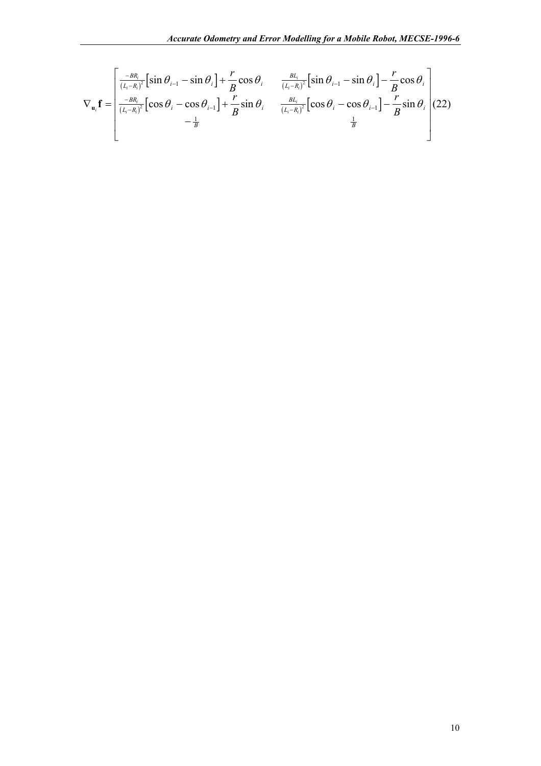$$
\nabla_{\mathbf{u}_i} \mathbf{f} = \begin{bmatrix} \frac{-BR_i}{(L_i - R_i)^2} \left[ \sin \theta_{i-1} - \sin \theta_i \right] + \frac{r}{B} \cos \theta_i & \frac{BL_i}{(L_i - R_i)^2} \left[ \sin \theta_{i-1} - \sin \theta_i \right] - \frac{r}{B} \cos \theta_i \\ \frac{-BR_i}{(L_i - R_i)^2} \left[ \cos \theta_i - \cos \theta_{i-1} \right] + \frac{r}{B} \sin \theta_i & \frac{BL_i}{(L_i - R_i)^2} \left[ \cos \theta_i - \cos \theta_{i-1} \right] - \frac{r}{B} \sin \theta_i \\ - \frac{1}{B} & \frac{1}{B} \end{bmatrix} (22)
$$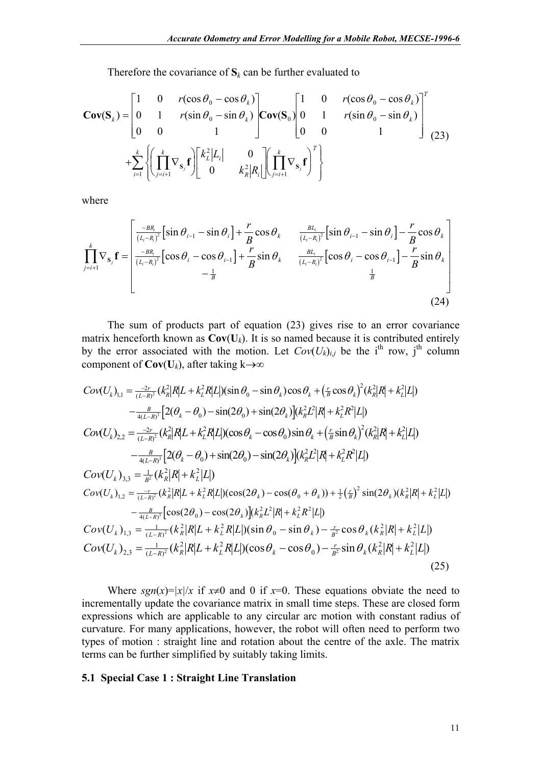Therefore the covariance of  $S_k$  can be further evaluated to

$$
\mathbf{Cov}(\mathbf{S}_k) = \begin{bmatrix} 1 & 0 & r(\cos \theta_0 - \cos \theta_k) \\ 0 & 1 & r(\sin \theta_0 - \sin \theta_k) \\ 0 & 0 & 1 \end{bmatrix} \mathbf{Cov}(\mathbf{S}_0) \begin{bmatrix} 1 & 0 & r(\cos \theta_0 - \cos \theta_k) \\ 0 & 1 & r(\sin \theta_0 - \sin \theta_k) \\ 0 & 0 & 1 \end{bmatrix}^T
$$
  
+ 
$$
\sum_{i=1}^k \left\{ \left( \prod_{j=i+1}^k \nabla_{\mathbf{s}_j} \mathbf{f} \right) \begin{bmatrix} k_i^2 |L_i| & 0 \\ 0 & k_i^2 |R_i| \end{bmatrix} \begin{bmatrix} \prod_{j=i+1}^k \nabla_{\mathbf{s}_j} \mathbf{f} \end{bmatrix}^T \right\}
$$
 (23)

where

$$
\prod_{j=i+1}^{k} \nabla_{\mathbf{s}_{j}} \mathbf{f} = \begin{bmatrix} \frac{-BR_{i}}{(L_{i}-R_{i})^{2}} [\sin \theta_{i-1} - \sin \theta_{i}] + \frac{r}{B} \cos \theta_{k} & \frac{BL_{i}}{(L_{i}-R_{i})^{2}} [\sin \theta_{i-1} - \sin \theta_{i}] - \frac{r}{B} \cos \theta_{k} \\ \frac{-BR_{i}}{(L_{i}-R_{i})^{2}} [\cos \theta_{i} - \cos \theta_{i-1}] + \frac{r}{B} \sin \theta_{k} & \frac{BL_{i}}{(L_{i}-R_{i})^{2}} [\cos \theta_{i} - \cos \theta_{i-1}] - \frac{r}{B} \sin \theta_{k} \\ -\frac{1}{B} & \frac{1}{B} \end{bmatrix}
$$
\n(24)

The sum of products part of equation (23) gives rise to an error covariance matrix henceforth known as  $Cov(U_k)$ . It is so named because it is contributed entirely by the error associated with the motion. Let  $Cov(U_k)_{i,j}$  be the i<sup>th</sup> row, j<sup>th</sup> column component of  $Cov(U_k)$ , after taking k→∞

$$
Cov(U_{k})_{1,1} = \frac{-2r}{(L-R)^{2}} (k_{R}^{2} |R|L + k_{L}^{2} R |L|)(\sin \theta_{0} - \sin \theta_{k}) \cos \theta_{k} + (\frac{r}{B} \cos \theta_{k})^{2} (k_{R}^{2} |R| + k_{L}^{2} |L|)
$$
  
\n
$$
- \frac{B}{4(L-R)^{3}} [2(\theta_{k} - \theta_{0}) - \sin(2\theta_{0}) + \sin(2\theta_{k})] (k_{R}^{2} L^{2} |R| + k_{L}^{2} R^{2} |L|)
$$
  
\n
$$
Cov(U_{k})_{2,2} = \frac{-2r}{(L-R)^{2}} (k_{R}^{2} |R|L + k_{L}^{2} R |L|)(\cos \theta_{k} - \cos \theta_{0}) \sin \theta_{k} + (\frac{r}{B} \sin \theta_{k})^{2} (k_{R}^{2} |R| + k_{L}^{2} |L|)
$$
  
\n
$$
- \frac{B}{4(L-R)^{3}} [2(\theta_{k} - \theta_{0}) + \sin(2\theta_{0}) - \sin(2\theta_{k})] (k_{R}^{2} L^{2} |R| + k_{L}^{2} R^{2} |L|)
$$
  
\n
$$
Cov(U_{k})_{3,3} = \frac{1}{B^{2}} (k_{R}^{2} |R| + k_{L}^{2} |L|)
$$
  
\n
$$
Cov(U_{k})_{1,2} = \frac{-r}{(L-R)^{2}} (k_{R}^{2} |R|L + k_{L}^{2} R |L|)(\cos(2\theta_{k}) - \cos(\theta_{0} + \theta_{k})) + \frac{1}{2} (\frac{r}{B})^{2} \sin(2\theta_{k}) (k_{R}^{2} |R| + k_{L}^{2} |L|)
$$
  
\n
$$
- \frac{B}{4(L-R)^{3}} [\cos(2\theta_{0}) - \cos(2\theta_{k})] (k_{R}^{2} L^{2} |R| + k_{L}^{2} R^{2} |L|)
$$
  
\n
$$
Cov(U_{k})_{1,3} = \frac{1}{(L-R)^{2}} (k_{R}^{2} |R|L + k_{L}^{2} R |L|)(\sin \theta_{0} - \sin \theta_{k}) - \frac{r}{
$$

Where  $sgn(x)=|x|/x$  if  $x\neq 0$  and 0 if  $x=0$ . These equations obviate the need to incrementally update the covariance matrix in small time steps. These are closed form expressions which are applicable to any circular arc motion with constant radius of curvature. For many applications, however, the robot will often need to perform two types of motion : straight line and rotation about the centre of the axle. The matrix terms can be further simplified by suitably taking limits.

#### **5.1 Special Case 1 : Straight Line Translation**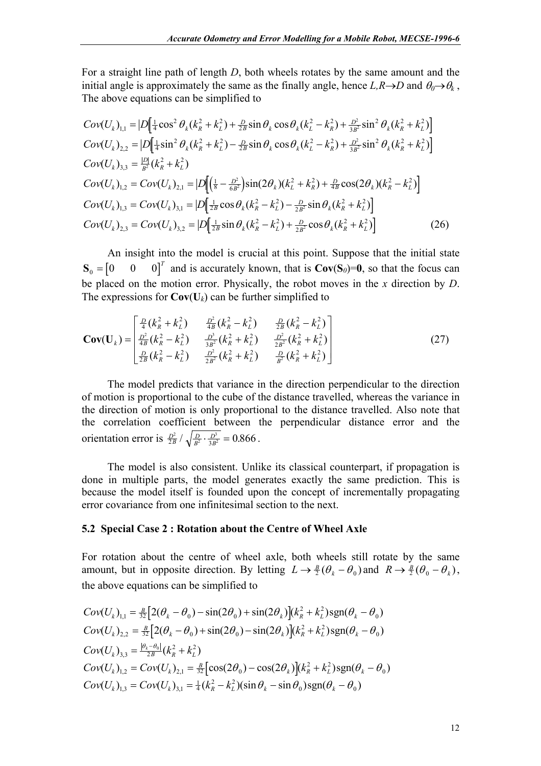For a straight line path of length *D*, both wheels rotates by the same amount and the initial angle is approximately the same as the finally angle, hence  $L, R \rightarrow D$  and  $\theta_0 \rightarrow \theta_k$ , The above equations can be simplified to

$$
Cov(U_k)_{1,1} = |D[\frac{1}{4}\cos^2{\theta_k}(k_R^2 + k_L^2) + \frac{D}{2B}\sin{\theta_k}\cos{\theta_k}(k_L^2 - k_R^2) + \frac{D^2}{3B^2}\sin^2{\theta_k}(k_R^2 + k_L^2)]
$$
  
\n
$$
Cov(U_k)_{2,2} = |D[\frac{1}{4}\sin^2{\theta_k}(k_R^2 + k_L^2) - \frac{D}{2B}\sin{\theta_k}\cos{\theta_k}(k_L^2 - k_R^2) + \frac{D^2}{3B^2}\sin^2{\theta_k}(k_R^2 + k_L^2)]
$$
  
\n
$$
Cov(U_k)_{3,3} = \frac{|D|}{B^2}(k_R^2 + k_L^2)
$$
  
\n
$$
Cov(U_k)_{1,2} = Cov(U_k)_{2,1} = |D[(\frac{1}{8} - \frac{D^2}{6B^2})\sin(2{\theta_k})(k_L^2 + k_R^2) + \frac{D}{4B}\cos(2{\theta_k})(k_R^2 - k_L^2)]
$$
  
\n
$$
Cov(U_k)_{1,3} = Cov(U_k)_{3,1} = |D[\frac{1}{2B}\cos{\theta_k}(k_R^2 - k_L^2) - \frac{D}{2B^2}\sin{\theta_k}(k_R^2 + k_L^2)]
$$
  
\n
$$
Cov(U_k)_{2,3} = Cov(U_k)_{3,2} = |D[\frac{1}{2B}\sin{\theta_k}(k_R^2 - k_L^2) + \frac{D}{2B^2}\cos{\theta_k}(k_R^2 + k_L^2)]
$$
  
\n(26)

An insight into the model is crucial at this point. Suppose that the initial state  $\mathbf{S}_0 = \begin{bmatrix} 0 & 0 & 0 \end{bmatrix}^T$  and is accurately known, that is  $\mathbf{Cov}(\mathbf{S}_0) = \mathbf{0}$ , so that the focus can be placed on the motion error. Physically, the robot moves in the *x* direction by *D*. The expressions for  $Cov(U_k)$  can be further simplified to

$$
\mathbf{Cov}(\mathbf{U}_{k}) = \begin{bmatrix} \frac{D}{4}(k_{R}^{2} + k_{L}^{2}) & \frac{D^{2}}{4B}(k_{R}^{2} - k_{L}^{2}) & \frac{D}{2B}(k_{R}^{2} - k_{L}^{2})\\ \frac{D^{2}}{4B}(k_{R}^{2} - k_{L}^{2}) & \frac{D^{3}}{3B^{2}}(k_{R}^{2} + k_{L}^{2}) & \frac{D^{2}}{2B^{2}}(k_{R}^{2} + k_{L}^{2})\\ \frac{D}{2B}(k_{R}^{2} - k_{L}^{2}) & \frac{D^{2}}{2B^{2}}(k_{R}^{2} + k_{L}^{2}) & \frac{D}{B^{2}}(k_{R}^{2} + k_{L}^{2}) \end{bmatrix}
$$
(27)

The model predicts that variance in the direction perpendicular to the direction of motion is proportional to the cube of the distance travelled, whereas the variance in the direction of motion is only proportional to the distance travelled. Also note that the correlation coefficient between the perpendicular distance error and the orientation error is  $\frac{D^2}{2B} / \sqrt{\frac{D}{B^2} \cdot \frac{D^3}{3B^2}} = 0.866$ .

The model is also consistent. Unlike its classical counterpart, if propagation is done in multiple parts, the model generates exactly the same prediction. This is because the model itself is founded upon the concept of incrementally propagating error covariance from one infinitesimal section to the next.

### **5.2 Special Case 2 : Rotation about the Centre of Wheel Axle**

For rotation about the centre of wheel axle, both wheels still rotate by the same amount, but in opposite direction. By letting  $L \rightarrow \frac{B}{2}(\theta_k - \theta_0)$  and  $R \rightarrow \frac{B}{2}(\theta_0 - \theta_k)$ , the above equations can be simplified to

$$
Cov(U_k)_{1,1} = \frac{B}{32} \Big[ 2(\theta_k - \theta_0) - \sin(2\theta_0) + \sin(2\theta_k) \Big] (k_R^2 + k_L^2) \text{sgn}(\theta_k - \theta_0)
$$
  
\n
$$
Cov(U_k)_{2,2} = \frac{B}{32} \Big[ 2(\theta_k - \theta_0) + \sin(2\theta_0) - \sin(2\theta_k) \Big] (k_R^2 + k_L^2) \text{sgn}(\theta_k - \theta_0)
$$
  
\n
$$
Cov(U_k)_{3,3} = \frac{|\theta_k - \theta_0|}{2B} (k_R^2 + k_L^2)
$$
  
\n
$$
Cov(U_k)_{1,2} = Cov(U_k)_{2,1} = \frac{B}{32} \Big[ \cos(2\theta_0) - \cos(2\theta_k) \Big] (k_R^2 + k_L^2) \text{sgn}(\theta_k - \theta_0)
$$
  
\n
$$
Cov(U_k)_{1,3} = Cov(U_k)_{3,1} = \frac{1}{4} (k_R^2 - k_L^2) (\sin \theta_k - \sin \theta_0) \text{sgn}(\theta_k - \theta_0)
$$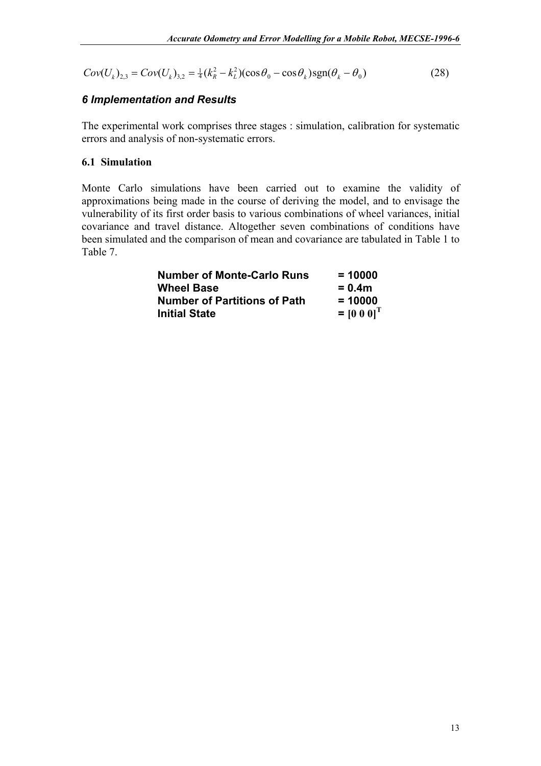$Cov(U_k)_{2,3} = Cov(U_k)_{3,2} = \frac{1}{4}(k_R^2 - k_L^2)(\cos \theta_0 - \cos \theta_k) \text{sgn}(\theta_k - \theta_0)$  (28)

## *6 Implementation and Results*

The experimental work comprises three stages : simulation, calibration for systematic errors and analysis of non-systematic errors.

### **6.1 Simulation**

Monte Carlo simulations have been carried out to examine the validity of approximations being made in the course of deriving the model, and to envisage the vulnerability of its first order basis to various combinations of wheel variances, initial covariance and travel distance. Altogether seven combinations of conditions have been simulated and the comparison of mean and covariance are tabulated in [Table 1](#page-13-0) to [Table 7.](#page-15-0)

| <b>Number of Monte-Carlo Runs</b>   | $= 10000$       |
|-------------------------------------|-----------------|
| <b>Wheel Base</b>                   | $= 0.4m$        |
| <b>Number of Partitions of Path</b> | $= 10000$       |
| <b>Initial State</b>                | $= [0 0 0]^{T}$ |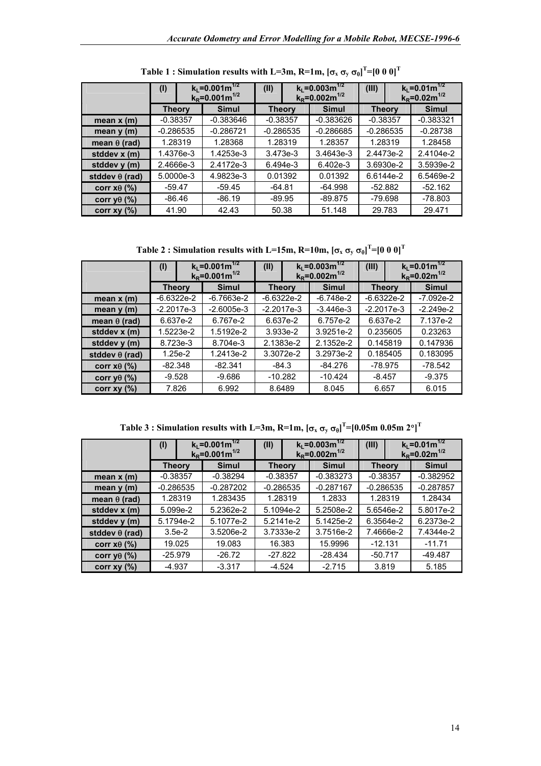|                       | $k_l = 0.001 m^{1/2}$<br>(1)<br>$k_R = 0.001 m^{1/2}$ |              | (II)                      | $k_1 = 0.003 \text{m}^{1/2}$<br>$k_R = 0.002$ m <sup>1/2</sup> |               | $k_L = 0.01 m^{1/2}$<br>$k_R = 0.02 m^{1/2}$ |
|-----------------------|-------------------------------------------------------|--------------|---------------------------|----------------------------------------------------------------|---------------|----------------------------------------------|
|                       | <b>Theory</b>                                         | <b>Simul</b> | <b>Theory</b>             | <b>Simul</b>                                                   | <b>Theory</b> | <b>Simul</b>                                 |
| mean $x(m)$           | $-0.38357$                                            | $-0.383646$  | $-0.383626$<br>$-0.38357$ |                                                                | $-0.38357$    | $-0.383321$                                  |
| mean $y(m)$           | $-0.286535$                                           | $-0.286721$  | $-0.286535$               | $-0.286685$                                                    | $-0.286535$   | $-0.28738$                                   |
| mean $\theta$ (rad)   | 1.28319                                               | 1.28368      | 1.28319                   | 1.28357                                                        | 1.28319       | 1.28458                                      |
| stddev x (m)          | 1.4376e-3                                             | 1.4253e-3    | 3.473e-3                  | 3.4643e-3                                                      | 2.4473e-2     | 2.4104e-2                                    |
| stddev y (m)          | 2.4666e-3                                             | 2.4172e-3    | 6.494e-3                  | 6.402e-3                                                       | 3.6930e-2     | 3.5939e-2                                    |
| stddev $\theta$ (rad) | 5.0000e-3                                             | 4.9823e-3    | 0.01392                   | 0.01392                                                        | 6.6144e-2     | 6.5469e-2                                    |
| corr $xθ$ (%)         | $-59.47$                                              | $-59.45$     | $-64.81$                  | $-64.998$                                                      | $-52.882$     | $-52.162$                                    |
| corr y $\theta$ (%)   | $-86.46$                                              | $-86.19$     | -89.95                    | $-89.875$                                                      | -79.698       | -78.803                                      |
| corr $xy(%)$          | 41.90                                                 | 42.43        | 50.38                     | 51.148                                                         | 29.783        | 29.471                                       |

<span id="page-13-0"></span>**Table 1 : Simulation results with L=3m, R=1m,**  $\mathbf{[\sigma_x\,\sigma_y\,\sigma_\theta]}^T\mathbf{=}\left[0\ 0\ 0\right]^T$ 

**Table 2 : Simulation results with L=15m, R=10m,**  $[\sigma_x \sigma_y \sigma_\theta]^T$ **=[0 0 0]<sup>T</sup>** 

|                       | $k_l = 0.001 m^{1/2}$<br>(1)<br>$k_R = 0.001 m^{1/2}$ |           | (II)         | $k_l = 0.003 m^{1/2}$<br>$k_R = 0.002 \text{m}^{1/2}$ |              | (III)        |          | $k_L = 0.01 m^{1/2}$<br>$k_R = 0.02 m^{1/2}$ |              |
|-----------------------|-------------------------------------------------------|-----------|--------------|-------------------------------------------------------|--------------|--------------|----------|----------------------------------------------|--------------|
|                       | <b>Theory</b>                                         |           | <b>Simul</b> | <b>Theory</b>                                         |              | <b>Simul</b> |          | <b>Theory</b>                                | <b>Simul</b> |
| mean $x(m)$           | $-6.6322e-2$                                          |           | -6.7663e-2   |                                                       | $-6.6322e-2$ | -6.748e-2    |          | $-6.6322e-2$                                 | -7.092e-2    |
| mean $y(m)$           | $-2.2017e-3$                                          |           | $-2.6005e-3$ |                                                       | $-2.2017e-3$ | -3.446e-3    |          | $-2.2017e-3$                                 | $-2.249e-2$  |
| mean $\theta$ (rad)   |                                                       | 6.637e-2  | 6.767e-2     |                                                       | 6.637e-2     | 6.757e-2     |          | 6.637e-2                                     | 7.137e-2     |
| stddev x (m)          |                                                       | 1.5223e-2 | 1.5192e-2    | 3.933e-2                                              |              | 3.9251e-2    |          | 0.235605                                     | 0.23263      |
| stddev y (m)          | 8.723e-3                                              |           | 8.704e-3     | 2.1383e-2                                             |              | 2.1352e-2    |          | 0.145819                                     | 0.147936     |
| stddev $\theta$ (rad) |                                                       | $1.25e-2$ | 1.2413e-2    |                                                       | 3.3072e-2    | 3.2973e-2    |          | 0.185405                                     | 0.183095     |
| corr $x\theta$ (%)    | $-82.348$                                             |           | $-82.341$    |                                                       | $-84.3$      | -84.276      |          | -78.975                                      | -78.542      |
| corr y $\theta$ (%)   | -9.528                                                |           | -9.686       |                                                       | $-10.282$    | $-10.424$    | $-8.457$ |                                              | $-9.375$     |
| corr $xy(%)$          |                                                       | 7.826     | 6.992        |                                                       | 8.6489       | 8.045        | 6.657    |                                              | 6.015        |

**Table 3 : Simulation results with L=3m, R=1m,**  $[\sigma_x \, \sigma_y \, \sigma_\theta]^T$ **=[0.05m 0.05m 2°]<sup>T</sup>** 

|                       | (1)           |             | $k_1 = 0.001 m^{1/2}$<br>$k_R = 0.001 m^{1/2}$ | (II)                   |             | $k_1 = 0.003 \text{m}^{1/2}$<br>$k_R = 0.002$ m <sup>1/2</sup> |                      | (III)         |           | $k_l = 0.01m^{1/2}$<br>$k_R = 0.02$ m <sup>1/2</sup> |
|-----------------------|---------------|-------------|------------------------------------------------|------------------------|-------------|----------------------------------------------------------------|----------------------|---------------|-----------|------------------------------------------------------|
|                       | <b>Theory</b> |             | <b>Simul</b>                                   | <b>Theory</b>          |             | <b>Simul</b>                                                   |                      | <b>Theory</b> |           | <b>Simul</b>                                         |
| mean $x(m)$           | $-0.38357$    |             | $-0.38294$                                     | $-0.38357$             |             | $-0.383273$                                                    |                      | $-0.38357$    |           | $-0.382952$                                          |
| mean $y(m)$           |               | $-0.286535$ | $-0.287202$                                    |                        | $-0.286535$ | $-0.287167$                                                    |                      | $-0.286535$   |           | $-0.287857$                                          |
| mean $\theta$ (rad)   | 1.28319       |             | 1.283435                                       |                        | 1.28319     | 1.2833                                                         |                      | 1.28319       |           | 1.28434                                              |
| stddev x (m)          |               | 5.099e-2    | 5.2362e-2                                      |                        | 5.1094e-2   | 5.2508e-2                                                      |                      |               | 5.6546e-2 | 5.8017e-2                                            |
| stddev y (m)          |               | 5.1794e-2   | 5.1077e-2                                      |                        | 5.2141e-2   | 5.1425e-2                                                      |                      | 6.3564e-2     |           | 6.2373e-2                                            |
| stddev $\theta$ (rad) | $3.5e-2$      |             | 3.5206e-2                                      |                        | 3.7333e-2   | 3.7516e-2                                                      |                      |               | 7.4666e-2 | 7.4344e-2                                            |
| corr $x\theta$ (%)    |               | 19.025      | 19.083                                         |                        | 16.383      |                                                                | 15.9996<br>$-12.131$ |               |           | $-11.71$                                             |
| corr y $\theta$ (%)   |               | $-25.979$   | $-26.72$                                       | $-27.822$<br>$-28.434$ |             |                                                                | $-50.717$            |               | $-49.487$ |                                                      |
| corr xy $(\%)$        | $-4.937$      |             | $-3.317$                                       | $-4.524$               |             | $-2.715$                                                       |                      | 3.819         |           | 5.185                                                |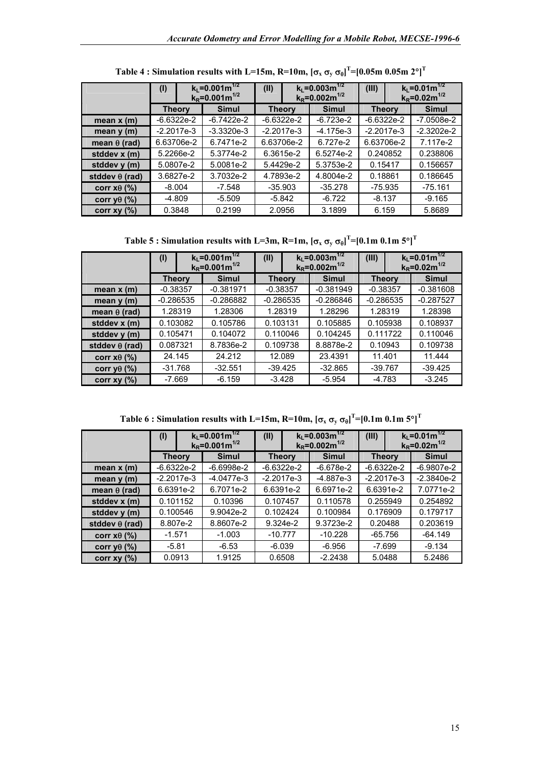|                       | $k_l = 0.001 m^{1/2}$<br>(1)<br>$k_R = 0.001 m^{1/2}$ |              | (II)          | $k_1 = 0.003 \text{m}^{1/2}$<br>$k_R = 0.002$ m <sup>1/2</sup> |               | $k_L = 0.01 m^{1/2}$<br>$k_R = 0.02$ m <sup>1/2</sup> |
|-----------------------|-------------------------------------------------------|--------------|---------------|----------------------------------------------------------------|---------------|-------------------------------------------------------|
|                       | <b>Theory</b>                                         | <b>Simul</b> | <b>Theory</b> | <b>Simul</b>                                                   | <b>Theory</b> | <b>Simul</b>                                          |
| mean $x(m)$           | $-6.6322e-2$                                          | $-6.7422e-2$ | $-6.6322e-2$  | $-6.723e-2$                                                    | $-6.6322e-2$  | $-7.0508e-2$                                          |
| mean $y(m)$           | $-2.2017e-3$                                          | $-3.3320e-3$ | $-2.2017e-3$  | $-4.175e-3$                                                    | $-2.2017e-3$  | $-2.3202e-2$                                          |
| mean $\theta$ (rad)   | 6.63706e-2                                            | 6.7471e-2    | 6.63706e-2    | 6.727e-2                                                       | 6.63706e-2    | 7.117e-2                                              |
| stddev x (m)          | 5.2266e-2                                             | 5.3774e-2    | 6.3615e-2     | 6.5274e-2                                                      | 0.240852      | 0.238806                                              |
| stddev y (m)          | 5.0807e-2                                             | 5.0081e-2    | 5.4429e-2     | 5.3753e-2                                                      | 0.15417       | 0.156657                                              |
| stddev $\theta$ (rad) | 3.6827e-2                                             | 3.7032e-2    | 4.7893e-2     | 4.8004e-2                                                      | 0.18861       | 0.186645                                              |
| corr $x\theta$ (%)    | $-8.004$                                              | $-7.548$     | $-35.903$     | $-35.278$                                                      | $-75.935$     | $-75.161$                                             |
| corr y $\theta$ (%)   | -4.809                                                | $-5.509$     | -5.842        | $-6.722$                                                       | $-8.137$      | $-9.165$                                              |
| corr $xy(%)$          | 0.3848                                                | 0.2199       | 2.0956        | 3.1899                                                         | 6.159         | 5.8689                                                |

|  | Table 4 : Simulation results with L=15m, R=10m, [ $\sigma_\text{x}$ $\sigma_\text{y}$ $\sigma_\text{0}]^\text{T}$ =[0.05m 0.05m 2°] $^\text{T}$ |  |
|--|-------------------------------------------------------------------------------------------------------------------------------------------------|--|
|--|-------------------------------------------------------------------------------------------------------------------------------------------------|--|

**Table 5 : Simulation results with L=3m, R=1m,**  $[\sigma_x \, \sigma_y \, \sigma_\theta]^T$ **=[0.1m 0.1m 5°]** $^T$ 

|                       | (1)           | $k_l = 0.001 m^{1/2}$<br>$k_R = 0.001 m^{1/2}$ |              | (II) | $k_l = 0.003 m^{1/2}$<br>$k_R = 0.002 \text{m}^{1/2}$ |                   | (III)        |  | $k_1 = 0.01 m^{1/2}$<br>$k_R = 0.02 m^{1/2}$ |  |              |
|-----------------------|---------------|------------------------------------------------|--------------|------|-------------------------------------------------------|-------------------|--------------|--|----------------------------------------------|--|--------------|
|                       | <b>Theory</b> |                                                | <b>Simul</b> |      | <b>Theory</b>                                         |                   | <b>Simul</b> |  | <b>Theory</b>                                |  | <b>Simul</b> |
| mean $x(m)$           | $-0.38357$    |                                                | $-0.381971$  |      | $-0.381949$<br>$-0.38357$                             |                   | $-0.38357$   |  | $-0.381608$                                  |  |              |
| mean $y(m)$           |               | $-0.286535$                                    | $-0.286882$  |      |                                                       | $-0.286535$       | $-0.286846$  |  | $-0.286535$                                  |  | $-0.287527$  |
| mean $θ$ (rad)        |               | 1.28319                                        | 1.28306      |      |                                                       | 1.28319           | 1.28296      |  | 1.28319                                      |  | 1.28398      |
| stddev x (m)          |               | 0.103082                                       | 0.105786     |      | 0.103131                                              |                   | 0.105885     |  | 0.105938                                     |  | 0.108937     |
| stddev y (m)          | 0.105471      |                                                | 0.104072     |      | 0.110046                                              |                   | 0.104245     |  | 0.111722                                     |  | 0.110046     |
| stddev $\theta$ (rad) | 0.087321      |                                                | 8.7836e-2    |      |                                                       | 0.109738          | 8.8878e-2    |  | 0.10943                                      |  | 0.109738     |
| corr $x\theta$ (%)    |               | 24.145                                         | 24.212       |      |                                                       | 23.4391<br>12.089 |              |  | 11.401                                       |  | 11.444       |
| corr y $\theta$ (%)   |               | $-31.768$                                      | $-32.551$    |      | $-39.425$                                             |                   | $-32.865$    |  | $-39.767$                                    |  | $-39.425$    |
| corr $xy(%)$          |               | $-7.669$                                       | $-6.159$     |      | $-3.428$                                              |                   | $-5.954$     |  | $-4.783$                                     |  | $-3.245$     |

**Table 6 : Simulation results with L=15m, R=10m,**  $[\sigma_x \, \sigma_y \, \sigma_\theta]^T$ **=[0.1m 0.1m 5°]<sup>T</sup>** 

|                       | $k_l = 0.001 m^{1/2}$<br>(1)<br>$k_R = 0.001 m^{1/2}$ |              | $k_1 = 0.003 \text{m}^{1/2}$<br>(II)<br>$k_R = 0.002 m^{1/2}$ |               | (III)        |              | $k_l = 0.01m^{1/2}$<br>$k_R = 0.02 m^{1/2}$ |               |  |              |
|-----------------------|-------------------------------------------------------|--------------|---------------------------------------------------------------|---------------|--------------|--------------|---------------------------------------------|---------------|--|--------------|
|                       | <b>Theory</b>                                         |              | <b>Simul</b>                                                  | <b>Theory</b> |              | <b>Simul</b> |                                             | <b>Theory</b> |  | <b>Simul</b> |
| mean $x(m)$           |                                                       | $-6.6322e-2$ | $-6.6998e-2$                                                  |               | $-6.6322e-2$ | $-6.678e-2$  |                                             | $-6.6322e-2$  |  | $-6.9807e-2$ |
| mean $y(m)$           |                                                       | $-2.2017e-3$ | $-4.0477e-3$                                                  |               | $-2.2017e-3$ | $-4.887e-3$  |                                             | $-2.2017e-3$  |  | $-2.3840e-2$ |
| mean $\theta$ (rad)   |                                                       | 6.6391e-2    | 6.7071e-2                                                     |               | 6.6391e-2    | 6.6971e-2    |                                             | 6.6391e-2     |  | 7.0771e-2    |
| stddev x (m)          | 0.101152                                              |              | 0.10396                                                       | 0.107457      |              | 0.110578     |                                             | 0.255949      |  | 0.254892     |
| stddev y (m)          |                                                       | 0.100546     | 9.9042e-2                                                     |               | 0.102424     | 0.100984     |                                             | 0.176909      |  | 0.179717     |
| stddev $\theta$ (rad) |                                                       | 8.807e-2     | 8.8607e-2                                                     | 9.324e-2      |              | 9.3723e-2    |                                             | 0.20488       |  | 0.203619     |
| corr $x\theta$ (%)    | $-1.571$                                              |              | $-1.003$                                                      | $-10.777$     |              | $-10.228$    |                                             | $-65.756$     |  | $-64.149$    |
| corr y $\theta$ (%)   | $-5.81$                                               |              | $-6.53$                                                       | $-6.039$      |              | $-6.956$     |                                             | -7.699        |  | $-9.134$     |
| corr $xy(%)$          | 0.0913                                                |              | 1.9125                                                        | 0.6508        |              | $-2.2438$    |                                             | 5.0488        |  | 5.2486       |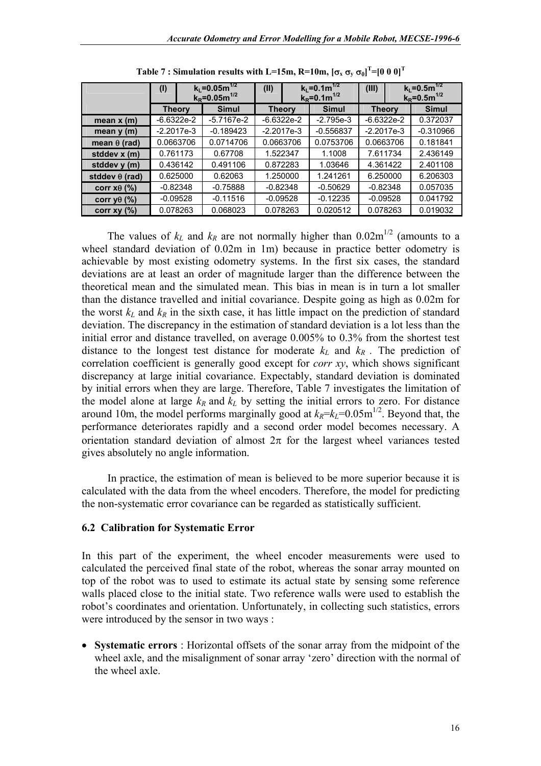|                       | (1)           | $k_L = 0.05 m^{1/2}$<br>$k_R = 0.05m^{1/2}$ |              | (II)       | $k_l = 0.1 m^{1/2}$<br>$k_R = 0.1 m^{1/2}$ |              | (III)     |               | $k_L = 0.5 m^{1/2}$<br>$k_R = 0.5m^{1/2}$ |
|-----------------------|---------------|---------------------------------------------|--------------|------------|--------------------------------------------|--------------|-----------|---------------|-------------------------------------------|
|                       | <b>Theory</b> |                                             | <b>Simul</b> |            | <b>Theory</b>                              | <b>Simul</b> |           | <b>Theory</b> | <b>Simul</b>                              |
| mean $x(m)$           | $-6.6322e-2$  |                                             | $-5.7167e-2$ |            | $-6.6322e-2$                               | $-2.795e-3$  |           | $-6.6322e-2$  | 0.372037                                  |
| mean $y(m)$           | $-2.2017e-3$  |                                             | $-0.189423$  |            | $-2.2017e-3$                               | $-0.556837$  |           | $-2.2017e-3$  | $-0.310966$                               |
| mean $\theta$ (rad)   | 0.0663706     |                                             | 0.0714706    |            | 0.0663706                                  | 0.0753706    | 0.0663706 |               | 0.181841                                  |
| stddev x (m)          | 0.761173      |                                             | 0.67708      |            | 1.522347                                   | 1.1008       |           | 7.611734      | 2.436149                                  |
| stddev y (m)          | 0.436142      |                                             | 0.491106     |            | 0.872283                                   | 1.03646      |           | 4.361422      | 2.401108                                  |
| stddev $\theta$ (rad) | 0.625000      |                                             | 0.62063      |            | 1.250000                                   | 1.241261     |           | 6.250000      | 6.206303                                  |
| corr $x\theta$ (%)    | $-0.82348$    |                                             | $-0.75888$   | $-0.82348$ |                                            | $-0.50629$   |           | $-0.82348$    | 0.057035                                  |
| corr y $\theta$ (%)   | $-0.09528$    |                                             | $-0.11516$   | $-0.09528$ |                                            | $-0.12235$   |           | $-0.09528$    | 0.041792                                  |
| corr $xy(%)$          | 0.078263      |                                             | 0.068023     |            | 0.078263                                   | 0.020512     |           | 0.078263      | 0.019032                                  |

<span id="page-15-0"></span>

|  |  | Table 7 : Simulation results with L=15m, R=10m, $\left[\sigma_{\rm x}\,\sigma_{\rm y}\,\sigma_{\rm \theta}\right]^{\rm T}$ =[0 0 0] $^{\rm T}$ |  |  |  |  |  |
|--|--|------------------------------------------------------------------------------------------------------------------------------------------------|--|--|--|--|--|
|--|--|------------------------------------------------------------------------------------------------------------------------------------------------|--|--|--|--|--|

The values of  $k_L$  and  $k_R$  are not normally higher than  $0.02 \text{m}^{1/2}$  (amounts to a wheel standard deviation of 0.02m in 1m) because in practice better odometry is achievable by most existing odometry systems. In the first six cases, the standard deviations are at least an order of magnitude larger than the difference between the theoretical mean and the simulated mean. This bias in mean is in turn a lot smaller than the distance travelled and initial covariance. Despite going as high as 0.02m for the worst  $k_L$  and  $k_R$  in the sixth case, it has little impact on the prediction of standard deviation. The discrepancy in the estimation of standard deviation is a lot less than the initial error and distance travelled, on average 0.005% to 0.3% from the shortest test distance to the longest test distance for moderate  $k_L$  and  $k_R$ . The prediction of correlation coefficient is generally good except for *corr xy*, which shows significant discrepancy at large initial covariance. Expectably, standard deviation is dominated by initial errors when they are large. Therefore, [Table 7](#page-15-0) investigates the limitation of the model alone at large  $k_R$  and  $k_L$  by setting the initial errors to zero. For distance around 10m, the model performs marginally good at  $k_R=k_l=0.05$ m<sup>1/2</sup>. Beyond that, the performance deteriorates rapidly and a second order model becomes necessary. A orientation standard deviation of almost  $2\pi$  for the largest wheel variances tested gives absolutely no angle information.

In practice, the estimation of mean is believed to be more superior because it is calculated with the data from the wheel encoders. Therefore, the model for predicting the non-systematic error covariance can be regarded as statistically sufficient.

### **6.2 Calibration for Systematic Error**

In this part of the experiment, the wheel encoder measurements were used to calculated the perceived final state of the robot, whereas the sonar array mounted on top of the robot was to used to estimate its actual state by sensing some reference walls placed close to the initial state. Two reference walls were used to establish the robot's coordinates and orientation. Unfortunately, in collecting such statistics, errors were introduced by the sensor in two ways :

• **Systematic errors** : Horizontal offsets of the sonar array from the midpoint of the wheel axle, and the misalignment of sonar array 'zero' direction with the normal of the wheel axle.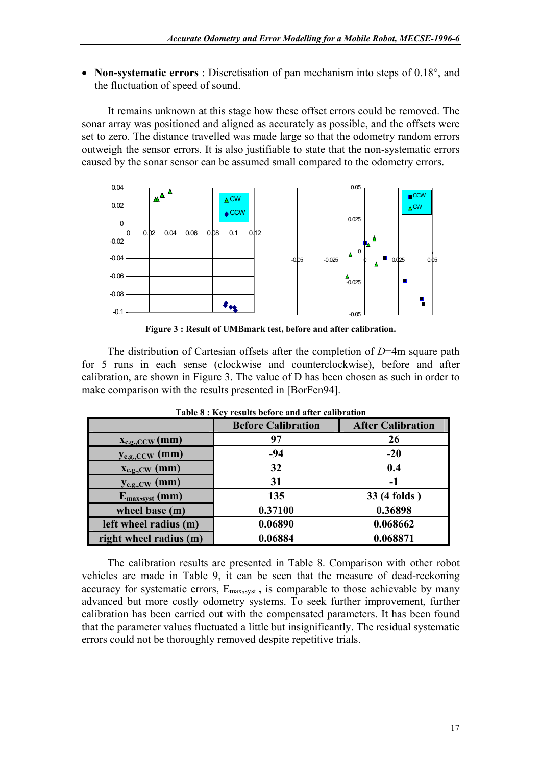• **Non-systematic errors** : Discretisation of pan mechanism into steps of 0.18°, and the fluctuation of speed of sound.

It remains unknown at this stage how these offset errors could be removed. The sonar array was positioned and aligned as accurately as possible, and the offsets were set to zero. The distance travelled was made large so that the odometry random errors outweigh the sensor errors. It is also justifiable to state that the non-systematic errors caused by the sonar sensor can be assumed small compared to the odometry errors.

<span id="page-16-0"></span>

**Figure 3 : Result of UMBmark test, before and after calibration.** 

The distribution of Cartesian offsets after the completion of *D*=4m square path for 5 runs in each sense (clockwise and counterclockwise), before and after calibration, are shown in [Figure 3.](#page-16-0) The value of D has been chosen as such in order to make comparison with the results presented in [BorFen94].

|                                           | <b>Before Calibration</b> | <b>After Calibration</b> |
|-------------------------------------------|---------------------------|--------------------------|
| $\mathbf{x}_{\text{c.g.,CCW}}(\text{mm})$ | 97                        | 26                       |
| $y_{c.g.,CCW}$ (mm)                       | $-94$                     | $-20$                    |
| $X_{c.g., CW}$ (mm)                       | 32                        | 0.4                      |
| $y_{c.g., CW}$ (mm)                       | 31                        | -1                       |
| $E_{max, syst}(mm)$                       | 135                       | 33 (4 folds)             |
| wheel base (m)                            | 0.37100                   | 0.36898                  |
| left wheel radius (m)                     | 0.06890                   | 0.068662                 |
| right wheel radius (m)                    | 0.06884                   | 0.068871                 |

<span id="page-16-1"></span>**Table 8 : Key results before and after calibration** 

The calibration results are presented in [Table 8.](#page-16-1) Comparison with other robot vehicles are made in [Table 9,](#page-17-0) it can be seen that the measure of dead-reckoning accuracy for systematic errors, Emax,syst **,** is comparable to those achievable by many advanced but more costly odometry systems. To seek further improvement, further calibration has been carried out with the compensated parameters. It has been found that the parameter values fluctuated a little but insignificantly. The residual systematic errors could not be thoroughly removed despite repetitive trials.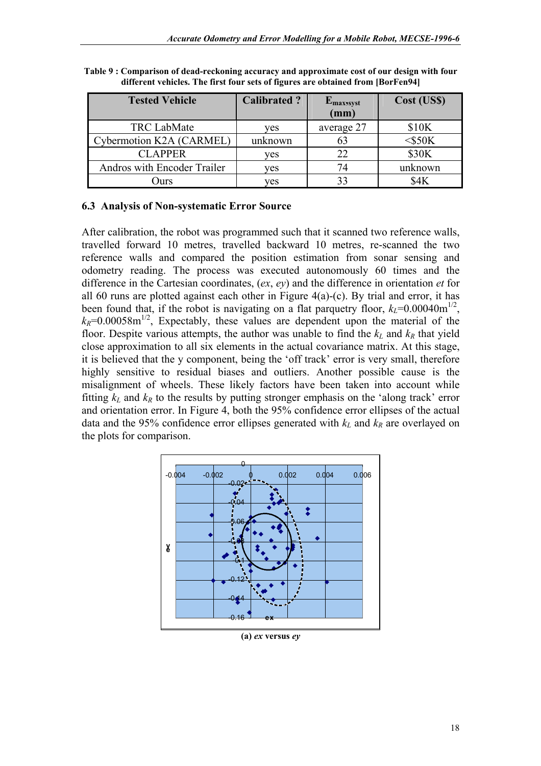| <b>Tested Vehicle</b>       | <b>Calibrated?</b> | $E_{max\, syst}$<br>(mm) | Cost (US\$)  |  |
|-----------------------------|--------------------|--------------------------|--------------|--|
| <b>TRC LabMate</b>          | ves                | average 27               | \$10K        |  |
| Cybermotion K2A (CARMEL)    | unknown            | 63                       | $<$ \$50 $K$ |  |
| <b>CLAPPER</b>              | ves                |                          | \$30K        |  |
| Andros with Encoder Trailer | ves                |                          | unknown      |  |
| )urs                        | ves                |                          |              |  |

<span id="page-17-0"></span>**Table 9 : Comparison of dead-reckoning accuracy and approximate cost of our design with four different vehicles. The first four sets of figures are obtained from [BorFen94]** 

### **6.3 Analysis of Non-systematic Error Source**

After calibration, the robot was programmed such that it scanned two reference walls, travelled forward 10 metres, travelled backward 10 metres, re-scanned the two reference walls and compared the position estimation from sonar sensing and odometry reading. The process was executed autonomously 60 times and the difference in the Cartesian coordinates, (*ex*, *ey*) and the difference in orientation *et* for all 60 runs are plotted against each other in Figure  $4(a)-(c)$ . By trial and error, it has been found that, if the robot is navigating on a flat parquetry floor,  $k_l$ =0.00040m<sup>1/2</sup>,  $k_R$ =0.00058m<sup>1/2</sup>, Expectably, these values are dependent upon the material of the floor. Despite various attempts, the author was unable to find the  $k_L$  and  $k_R$  that yield close approximation to all six elements in the actual covariance matrix. At this stage, it is believed that the y component, being the 'off track' error is very small, therefore highly sensitive to residual biases and outliers. Another possible cause is the misalignment of wheels. These likely factors have been taken into account while fitting  $k_l$  and  $k_R$  to the results by putting stronger emphasis on the 'along track' error and orientation error. In [Figure 4,](#page-18-0) both the 95% confidence error ellipses of the actual data and the 95% confidence error ellipses generated with  $k_l$  and  $k_R$  are overlayed on the plots for comparison.



**(a)** *ex* **versus** *ey*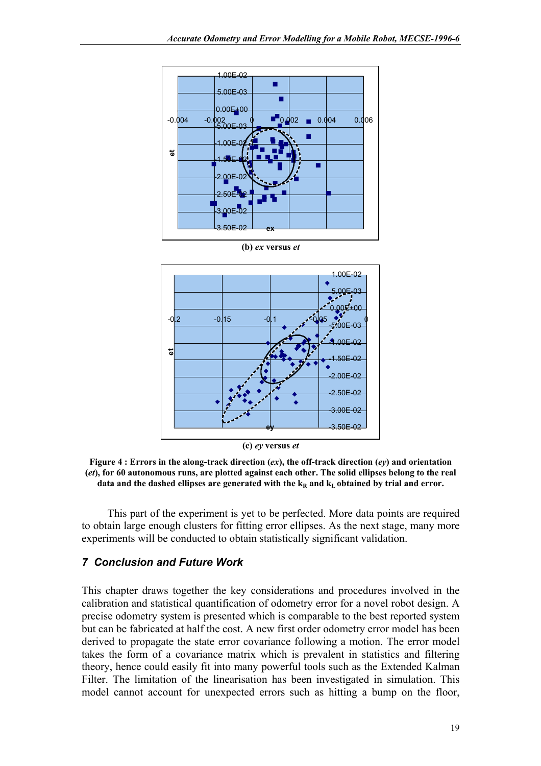



**(c)** *ey* **versus** *et*

<span id="page-18-0"></span>**Figure 4 : Errors in the along-track direction (***ex***), the off-track direction (***ey***) and orientation (***et***), for 60 autonomous runs, are plotted against each other. The solid ellipses belong to the real**  data and the dashed ellipses are generated with the  $k<sub>R</sub>$  and  $k<sub>L</sub>$  obtained by trial and error.

This part of the experiment is yet to be perfected. More data points are required to obtain large enough clusters for fitting error ellipses. As the next stage, many more experiments will be conducted to obtain statistically significant validation.

### *7 Conclusion and Future Work*

This chapter draws together the key considerations and procedures involved in the calibration and statistical quantification of odometry error for a novel robot design. A precise odometry system is presented which is comparable to the best reported system but can be fabricated at half the cost. A new first order odometry error model has been derived to propagate the state error covariance following a motion. The error model takes the form of a covariance matrix which is prevalent in statistics and filtering theory, hence could easily fit into many powerful tools such as the Extended Kalman Filter. The limitation of the linearisation has been investigated in simulation. This model cannot account for unexpected errors such as hitting a bump on the floor,